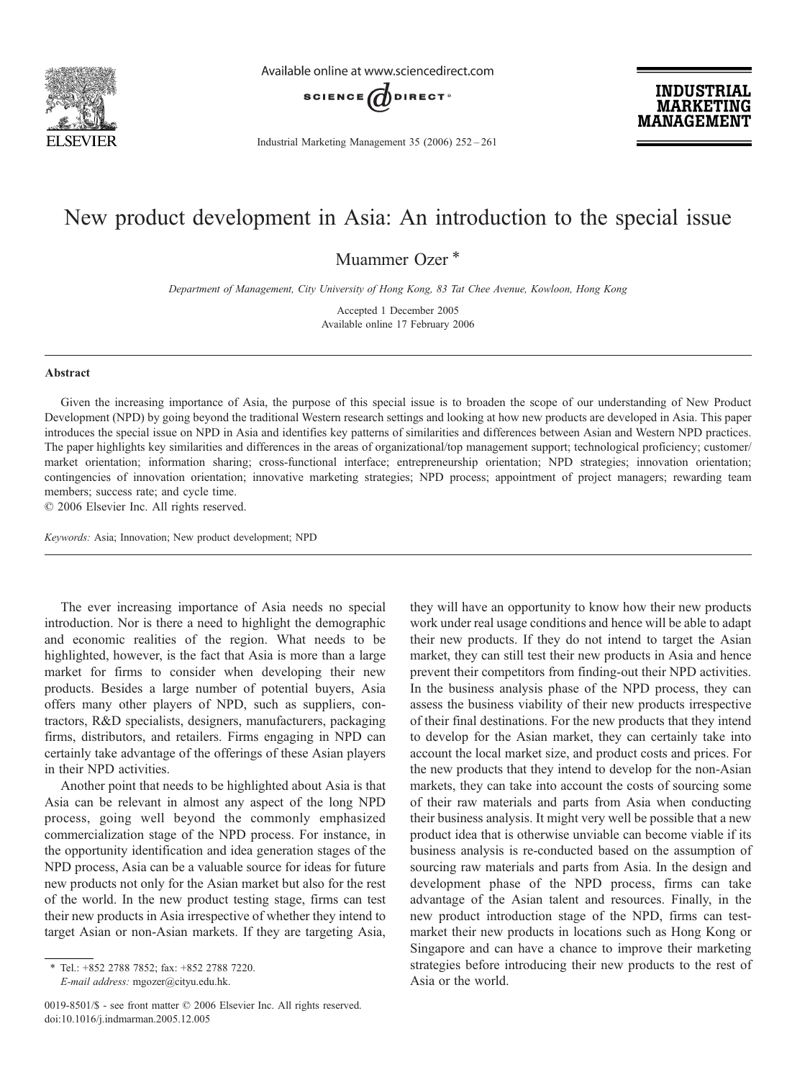

Available online at www.sciencedirect.com



Industrial Marketing Management 35 (2006) 252–261

**INDUSTRIAL MARKETING MANAGEMENT** 

## New product development in Asia: An introduction to the special issue

Muammer Ozer<sup>\*</sup>

Department of Management, City University of Hong Kong, 83 Tat Chee Avenue, Kowloon, Hong Kong

Accepted 1 December 2005 Available online 17 February 2006

## Abstract

Given the increasing importance of Asia, the purpose of this special issue is to broaden the scope of our understanding of New Product Development (NPD) by going beyond the traditional Western research settings and looking at how new products are developed in Asia. This paper introduces the special issue on NPD in Asia and identifies key patterns of similarities and differences between Asian and Western NPD practices. The paper highlights key similarities and differences in the areas of organizational/top management support; technological proficiency; customer/ market orientation; information sharing; cross-functional interface; entrepreneurship orientation; NPD strategies; innovation orientation; contingencies of innovation orientation; innovative marketing strategies; NPD process; appointment of project managers; rewarding team members; success rate; and cycle time.

© 2006 Elsevier Inc. All rights reserved.

Keywords: Asia; Innovation; New product development; NPD

The ever increasing importance of Asia needs no special introduction. Nor is there a need to highlight the demographic and economic realities of the region. What needs to be highlighted, however, is the fact that Asia is more than a large market for firms to consider when developing their new products. Besides a large number of potential buyers, Asia offers many other players of NPD, such as suppliers, contractors, R&D specialists, designers, manufacturers, packaging firms, distributors, and retailers. Firms engaging in NPD can certainly take advantage of the offerings of these Asian players in their NPD activities.

Another point that needs to be highlighted about Asia is that Asia can be relevant in almost any aspect of the long NPD process, going well beyond the commonly emphasized commercialization stage of the NPD process. For instance, in the opportunity identification and idea generation stages of the NPD process, Asia can be a valuable source for ideas for future new products not only for the Asian market but also for the rest of the world. In the new product testing stage, firms can test their new products in Asia irrespective of whether they intend to target Asian or non-Asian markets. If they are targeting Asia,

they will have an opportunity to know how their new products work under real usage conditions and hence will be able to adapt their new products. If they do not intend to target the Asian market, they can still test their new products in Asia and hence prevent their competitors from finding-out their NPD activities. In the business analysis phase of the NPD process, they can assess the business viability of their new products irrespective of their final destinations. For the new products that they intend to develop for the Asian market, they can certainly take into account the local market size, and product costs and prices. For the new products that they intend to develop for the non-Asian markets, they can take into account the costs of sourcing some of their raw materials and parts from Asia when conducting their business analysis. It might very well be possible that a new product idea that is otherwise unviable can become viable if its business analysis is re-conducted based on the assumption of sourcing raw materials and parts from Asia. In the design and development phase of the NPD process, firms can take advantage of the Asian talent and resources. Finally, in the new product introduction stage of the NPD, firms can testmarket their new products in locations such as Hong Kong or Singapore and can have a chance to improve their marketing strategies before introducing their new products to the rest of Asia or the world.

<sup>⁎</sup> Tel.: +852 2788 7852; fax: +852 2788 7220. E-mail address: mgozer@cityu.edu.hk.

<sup>0019-8501/\$ -</sup> see front matter © 2006 Elsevier Inc. All rights reserved. doi:10.1016/j.indmarman.2005.12.005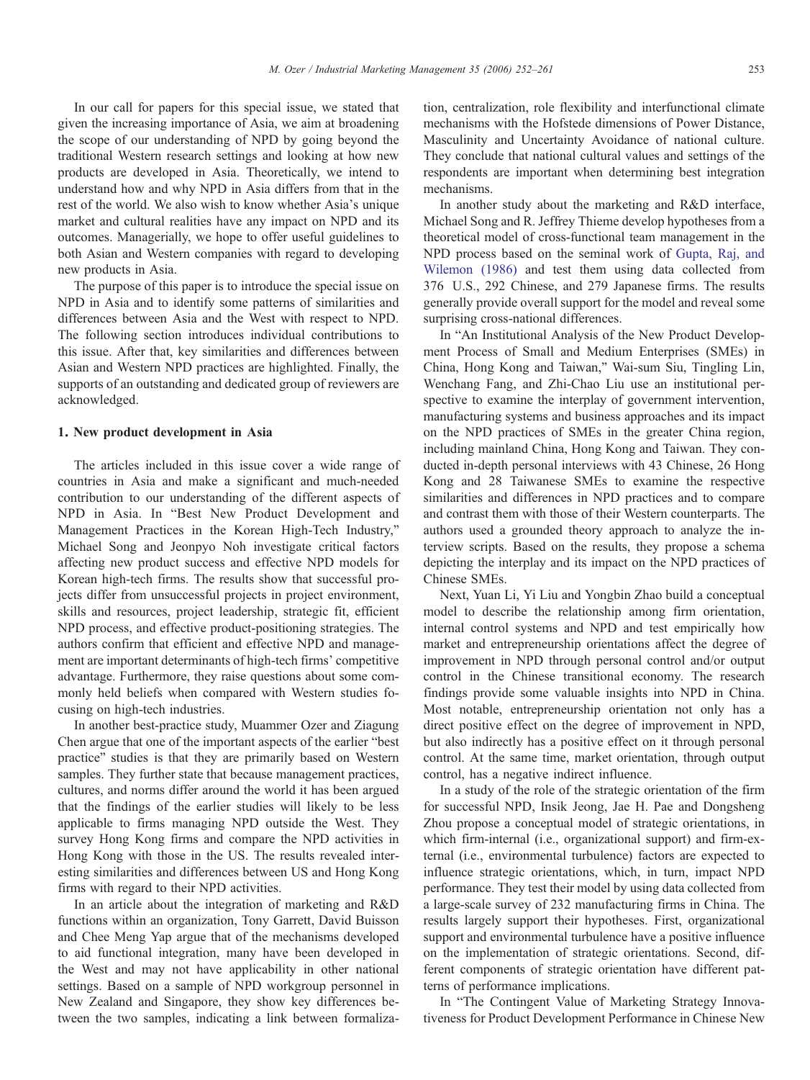In our call for papers for this special issue, we stated that given the increasing importance of Asia, we aim at broadening the scope of our understanding of NPD by going beyond the traditional Western research settings and looking at how new products are developed in Asia. Theoretically, we intend to understand how and why NPD in Asia differs from that in the rest of the world. We also wish to know whether Asia's unique market and cultural realities have any impact on NPD and its outcomes. Managerially, we hope to offer useful guidelines to both Asian and Western companies with regard to developing new products in Asia.

The purpose of this paper is to introduce the special issue on NPD in Asia and to identify some patterns of similarities and differences between Asia and the West with respect to NPD. The following section introduces individual contributions to this issue. After that, key similarities and differences between Asian and Western NPD practices are highlighted. Finally, the supports of an outstanding and dedicated group of reviewers are acknowledged.

## 1. New product development in Asia

The articles included in this issue cover a wide range of countries in Asia and make a significant and much-needed contribution to our understanding of the different aspects of NPD in Asia. In "Best New Product Development and Management Practices in the Korean High-Tech Industry," Michael Song and Jeonpyo Noh investigate critical factors affecting new product success and effective NPD models for Korean high-tech firms. The results show that successful projects differ from unsuccessful projects in project environment, skills and resources, project leadership, strategic fit, efficient NPD process, and effective product-positioning strategies. The authors confirm that efficient and effective NPD and management are important determinants of high-tech firms' competitive advantage. Furthermore, they raise questions about some commonly held beliefs when compared with Western studies focusing on high-tech industries.

In another best-practice study, Muammer Ozer and Ziagung Chen argue that one of the important aspects of the earlier "best practice" studies is that they are primarily based on Western samples. They further state that because management practices, cultures, and norms differ around the world it has been argued that the findings of the earlier studies will likely to be less applicable to firms managing NPD outside the West. They survey Hong Kong firms and compare the NPD activities in Hong Kong with those in the US. The results revealed interesting similarities and differences between US and Hong Kong firms with regard to their NPD activities.

In an article about the integration of marketing and R&D functions within an organization, Tony Garrett, David Buisson and Chee Meng Yap argue that of the mechanisms developed to aid functional integration, many have been developed in the West and may not have applicability in other national settings. Based on a sample of NPD workgroup personnel in New Zealand and Singapore, they show key differences between the two samples, indicating a link between formalization, centralization, role flexibility and interfunctional climate mechanisms with the Hofstede dimensions of Power Distance, Masculinity and Uncertainty Avoidance of national culture. They conclude that national cultural values and settings of the respondents are important when determining best integration mechanisms.

In another study about the marketing and R&D interface, Michael Song and R. Jeffrey Thieme develop hypotheses from a theoretical model of cross-functional team management in the NPD process based on the seminal work of [Gupta, Raj, and](#page--1-0) [Wilemon \(1986\)](#page--1-0) and test them using data collected from 376 U.S., 292 Chinese, and 279 Japanese firms. The results generally provide overall support for the model and reveal some surprising cross-national differences.

In "An Institutional Analysis of the New Product Development Process of Small and Medium Enterprises (SMEs) in China, Hong Kong and Taiwan," Wai-sum Siu, Tingling Lin, Wenchang Fang, and Zhi-Chao Liu use an institutional perspective to examine the interplay of government intervention, manufacturing systems and business approaches and its impact on the NPD practices of SMEs in the greater China region, including mainland China, Hong Kong and Taiwan. They conducted in-depth personal interviews with 43 Chinese, 26 Hong Kong and 28 Taiwanese SMEs to examine the respective similarities and differences in NPD practices and to compare and contrast them with those of their Western counterparts. The authors used a grounded theory approach to analyze the interview scripts. Based on the results, they propose a schema depicting the interplay and its impact on the NPD practices of Chinese SMEs.

Next, Yuan Li, Yi Liu and Yongbin Zhao build a conceptual model to describe the relationship among firm orientation, internal control systems and NPD and test empirically how market and entrepreneurship orientations affect the degree of improvement in NPD through personal control and/or output control in the Chinese transitional economy. The research findings provide some valuable insights into NPD in China. Most notable, entrepreneurship orientation not only has a direct positive effect on the degree of improvement in NPD, but also indirectly has a positive effect on it through personal control. At the same time, market orientation, through output control, has a negative indirect influence.

In a study of the role of the strategic orientation of the firm for successful NPD, Insik Jeong, Jae H. Pae and Dongsheng Zhou propose a conceptual model of strategic orientations, in which firm-internal (i.e., organizational support) and firm-external (i.e., environmental turbulence) factors are expected to influence strategic orientations, which, in turn, impact NPD performance. They test their model by using data collected from a large-scale survey of 232 manufacturing firms in China. The results largely support their hypotheses. First, organizational support and environmental turbulence have a positive influence on the implementation of strategic orientations. Second, different components of strategic orientation have different patterns of performance implications.

In "The Contingent Value of Marketing Strategy Innovativeness for Product Development Performance in Chinese New